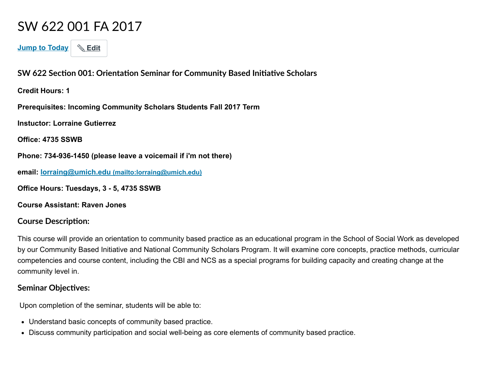# SW 622 001 FA 2017

Jump to Today | Ldit

SW 622 Section 001: Orientation Seminar for Community Based Initiative Scholars

Credit Hours: 1

Prerequisites: Incoming Community Scholars Students Fall 2017 Term

Instuctor: Lorraine Gutierrez

Office: 4735 SSWB

Phone: 734-936-1450 (please leave a voicemail if i'm not there)

email: lorraing@umich.edu [\(mailto:lorraing@umich.edu\)](mailto:lorraing@umich.edu)

Office Hours: Tuesdays, 3 - 5, 4735 SSWB

Course Assistant: Raven Jones

#### **Course Description:**

This course will provide an orientation to community based practice as an educational program in the School of Social Work as developed by our Community Based Initiative and National Community Scholars Program. It will examine core concepts, practice methods, curricular competencies and course content, including the CBI and NCS as a special programs for building capacity and creating change at the community level in.

#### **Seminar Objectives:**

Upon completion of the seminar, students will be able to:

- Understand basic concepts of community based practice.
- Discuss community participation and social well-being as core elements of community based practice.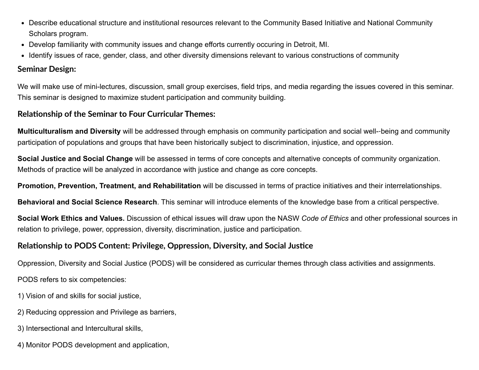- Describe educational structure and institutional resources relevant to the Community Based Initiative and National Community Scholars program.
- Develop familiarity with community issues and change efforts currently occuring in Detroit, MI.
- Identify issues of race, gender, class, and other diversity dimensions relevant to various constructions of community

#### Seminar Design:

We will make use of mini-lectures, discussion, small group exercises, field trips, and media regarding the issues covered in this seminar. This seminar is designed to maximize student participation and community building.

#### Relationship of the Seminar to Four Curricular Themes:

Multiculturalism and Diversity will be addressed through emphasis on community participation and social well--being and community participation of populations and groups that have been historically subject to discrimination, injustice, and oppression.

Social Justice and Social Change will be assessed in terms of core concepts and alternative concepts of community organization. Methods of practice will be analyzed in accordance with justice and change as core concepts.

Promotion, Prevention, Treatment, and Rehabilitation will be discussed in terms of practice initiatives and their interrelationships.

Behavioral and Social Science Research. This seminar will introduce elements of the knowledge base from a critical perspective.

Social Work Ethics and Values. Discussion of ethical issues will draw upon the NASW Code of Ethics and other professional sources in relation to privilege, power, oppression, diversity, discrimination, justice and participation.

#### Relationship to PODS Content: Privilege, Oppression, Diversity, and Social Justice

Oppression, Diversity and Social Justice (PODS) will be considered as curricular themes through class activities and assignments.

PODS refers to six competencies:

- 1) Vision of and skills for social justice,
- 2) Reducing oppression and Privilege as barriers,
- 3) Intersectional and Intercultural skills,
- 4) Monitor PODS development and application,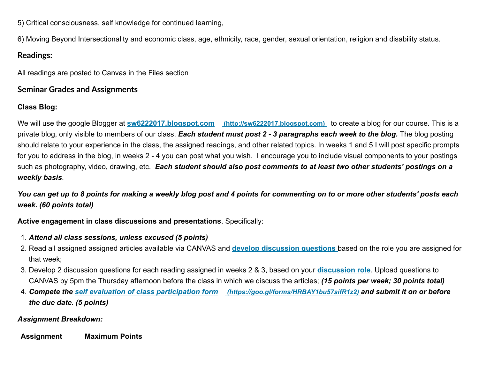5) Critical consciousness, self knowledge for continued learning,

6) Moving Beyond Intersectionality and economic class, age, ethnicity, race, gender, sexual orientation, religion and disability status.

#### Readings:

All readings are posted to Canvas in the Files section

#### Seminar Grades and Assignments

#### Class Blog:

We will use the google Blogger at **sw6222017.blogspot.com** [\(http://sw6222017.blogspot.com\)](http://sw6222017.blogspot.com/) to create a blog for our course. This is a private blog, only visible to members of our class. Each student must post 2 - 3 paragraphs each week to the blog. The blog posting should relate to your experience in the class, the assigned readings, and other related topics. In weeks 1 and 5 I will post specific prompts for you to address in the blog, in weeks 2 - 4 you can post what you wish. I encourage you to include visual components to your postings such as photography, video, drawing, etc. Each student should also post comments to at least two other students' postings on a weekly basis.

You can get up to 8 points for making a weekly blog post and 4 points for commenting on to or more other students' posts each week. (60 points total)

Active engagement in class discussions and presentations. Specifically:

- 1. Attend all class sessions, unless excused (5 points)
- 2. Read all assigned assigned articles available via CANVAS and **develop discussion questions** based on the role you are assigned for that week;
- 3. Develop 2 discussion questions for each reading assigned in weeks 2 & 3, based on your **[discussion role](https://umich.instructure.com/courses/171655/pages/discussion-roles-schedule)**. Upload questions to CANVAS by 5pm the Thursday afternoon before the class in which we discuss the articles; (15 points per week; 30 points total)
- 4. Compete the [self evaluation of class participation form](https://goo.gl/forms/HRBAY1bu57sifR1z2) *(https://goo.gl/forms/HRBAY1bu57sifR1z2)* and submit it on or before the due date. (5 points)

#### Assignment Breakdown:

Assignment Maximum Points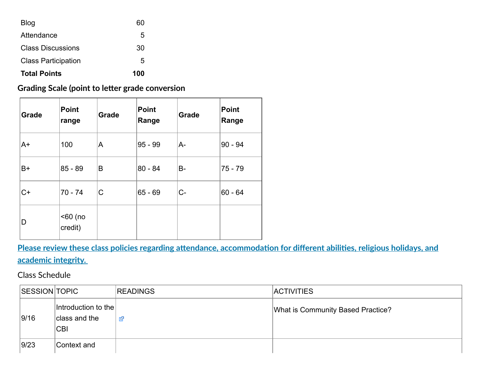| <b>Total Points</b><br>100 |    |  |
|----------------------------|----|--|
| <b>Class Participation</b> | 5  |  |
| <b>Class Discussions</b>   | 30 |  |
| Attendance                 | 5  |  |
| Blog                       | 60 |  |

### Grading Scale (point to letter grade conversion

| Grade | <b>Point</b><br>range | <b>Grade</b> | <b>Point</b><br>Range | Grade     | <b>Point</b><br>Range |
|-------|-----------------------|--------------|-----------------------|-----------|-----------------------|
| A+    | 100                   | A            | $95 - 99$             | A-        | $90 - 94$             |
| B+    | $85 - 89$             | B            | $80 - 84$             | <b>B-</b> | $75 - 79$             |
| $C+$  | $70 - 74$             | C            | $65 - 69$             | $C-$      | $60 - 64$             |
| D     | $60$ (no<br>credit)   |              |                       |           |                       |

## Please review these class policies regarding attendance, accommodation for different abilities, religious holidays, and academic integrity.

#### Class Schedule

| SESSION TOPIC |                                                    | <b>READINGS</b> | <b>ACTIVITIES</b>                 |
|---------------|----------------------------------------------------|-----------------|-----------------------------------|
| 9/16          | Introduction to the<br>class and the<br><b>CBI</b> | 咨               | What is Community Based Practice? |
| 9/23          | Context and                                        |                 |                                   |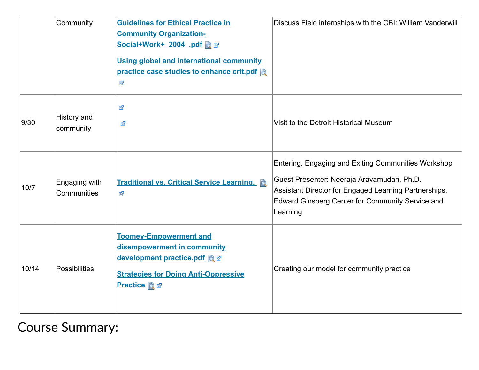|       | Community                    | <b>Guidelines for Ethical Practice in</b><br><b>Community Organization-</b><br>Social+Work+ 2004 .pdf a @<br><b>Using global and international community</b><br>practice case studies to enhance crit.pdf<br>咨 | Discuss Field internships with the CBI: William Vanderwill                                                                                                                                                                 |
|-------|------------------------------|----------------------------------------------------------------------------------------------------------------------------------------------------------------------------------------------------------------|----------------------------------------------------------------------------------------------------------------------------------------------------------------------------------------------------------------------------|
| 9/30  | History and<br>community     | 咨<br>咨                                                                                                                                                                                                         | Visit to the Detroit Historical Museum                                                                                                                                                                                     |
| 10/7  | Engaging with<br>Communities | Traditional vs. Critical Service Learning. a<br>咨                                                                                                                                                              | Entering, Engaging and Exiting Communities Workshop<br>Guest Presenter: Neeraja Aravamudan, Ph.D.<br>Assistant Director for Engaged Learning Partnerships,<br>Edward Ginsberg Center for Community Service and<br>Learning |
| 10/14 | <b>Possibilities</b>         | <b>Toomey-Empowerment and</b><br>disempowerment in community<br>development practice.pdf a<br><b>Strategies for Doing Anti-Oppressive</b><br><b>Practice</b> a a                                               | Creating our model for community practice                                                                                                                                                                                  |

Course Summary: